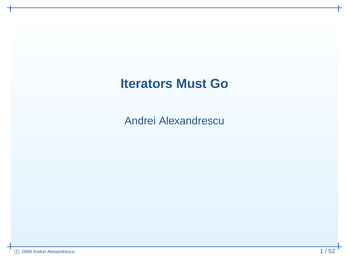### **Iterators Must Go**

Andrei Alexandrescu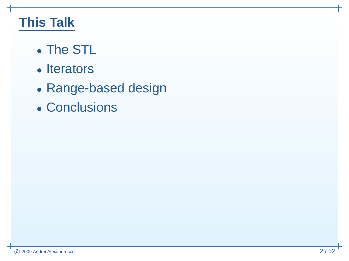### **This Talk**

- $\bullet$ • The STL
- $\bullet$ • Iterators
- $\bullet$ Range-based design
- $\bullet$ • Conclusions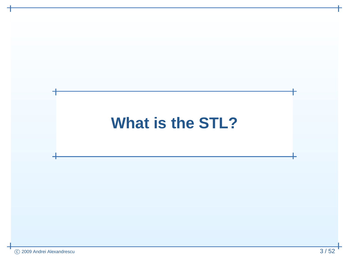# **What is the STL?**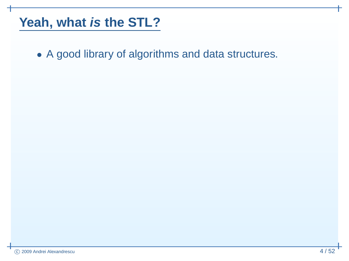• <sup>A</sup> good library of algorithms and data structures.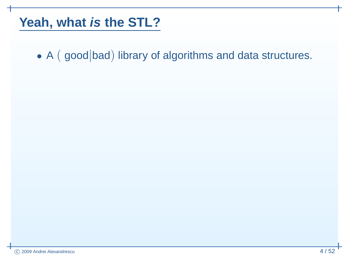• A (good bad) library of algorithms and data structures.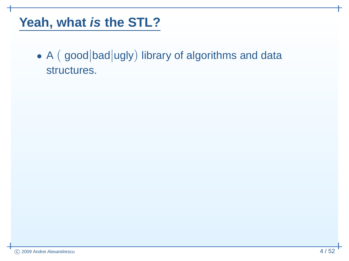• A (good bad ugly) library of algorithms and data structures.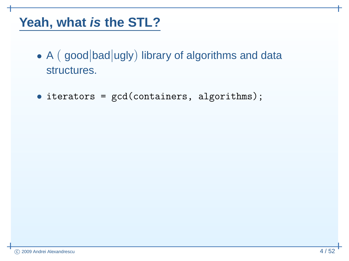- A (good bad ugly) library of algorithms and data structures.
- iterators <sup>=</sup> gcd(containers, algorithms);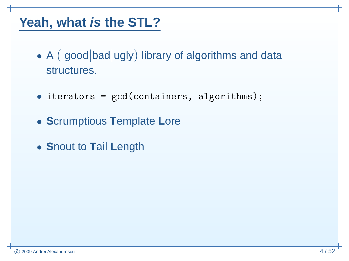- A (good bad ugly) library of algorithms and data structures.
- iterators <sup>=</sup> gcd(containers, algorithms);
- **<sup>S</sup>**crumptious **<sup>T</sup>**emplate **<sup>L</sup>**ore
- **<sup>S</sup>**nout to **<sup>T</sup>**ail **<sup>L</sup>**ength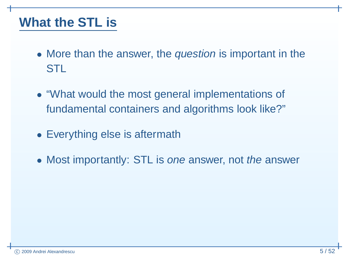### **What the STL is**

- More than the answer, the *question* is important in the STL
- "What would the most general implementations of fundamental containers and algorithms look like?"
- Everything else is aftermath
- Most importantly: STL is one answer, not the answer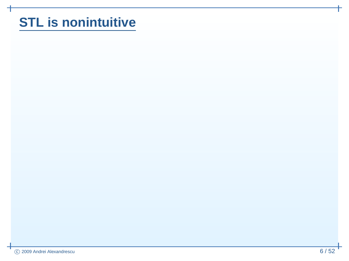### **STL is nonintuitive**

⊣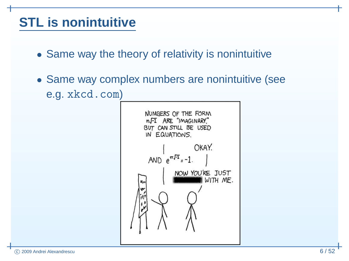### **STL is nonintuitive**

- Same way the theory of relativity is nonintuitive
- Same way complex numbers are nonintuitive (seee.g. <xkcd.com>)

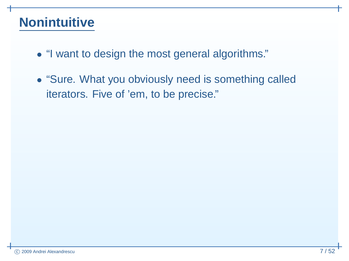### **Nonintuitive**

- "I want to design the most general algorithms."
- "Sure. What you obviously need is something callediterators. Five of 'em, to be precise."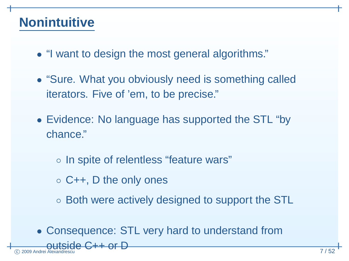### **Nonintuitive**

 $^\copyright$ 

 $\odot$  2009 Andrei Alexandrescu

- "I want to design the most general algorithms."
- "Sure. What you obviously need is something callediterators. Five of 'em, to be precise."
- Evidence: No language has supported the STL "bychance."
	- In spite of relentless "feature wars"
	- C++, <sup>D</sup> the only ones

 $side$   $C++$  or  $D$ 

- $\circ$  Both were actively designed to support the STL
- Consequence: STL very hard to understand from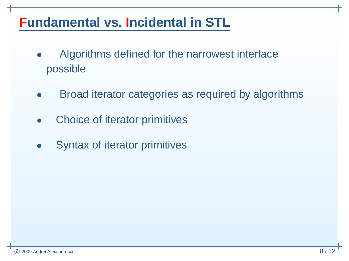- $\bullet$  Algorithms defined for the narrowest interfacepossible
- $\bullet$ Broad iterator categories as required by algorithms
- $\bullet$ Choice of iterator primitives
- $\bullet$ Syntax of iterator primitives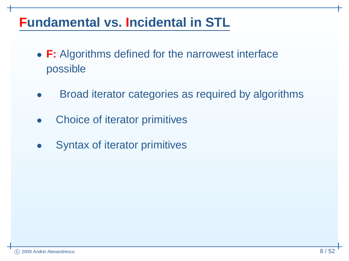- **F:** Algorithms defined for the narrowest interfacepossible
- $\bullet$ Broad iterator categories as required by algorithms
- $\bullet$ Choice of iterator primitives
- $\bullet$ Syntax of iterator primitives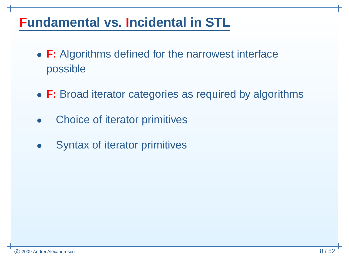- **F:** Algorithms defined for the narrowest interfacepossible
- **F:** Broad iterator categories as required by algorithms
- $\bullet$ Choice of iterator primitives
- $\bullet$ Syntax of iterator primitives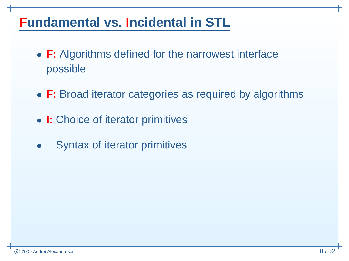- **F:** Algorithms defined for the narrowest interfacepossible
- **F:** Broad iterator categories as required by algorithms
- **I:** Choice of iterator primitives
- $\bullet$ Syntax of iterator primitives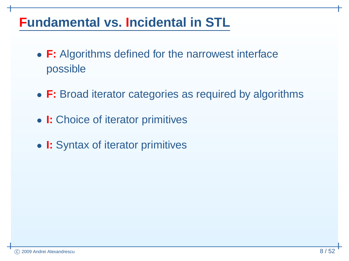- **F:** Algorithms defined for the narrowest interfacepossible
- **F:** Broad iterator categories as required by algorithms
- **I:** Choice of iterator primitives
- **I:** Syntax of iterator primitives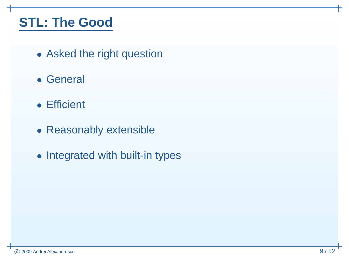### **STL: The Good**

- Asked the right question
- General
- Efficient
- Reasonably extensible
- Integrated with built-in types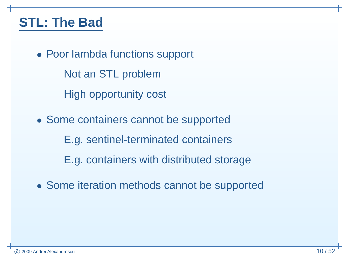### **STL: The Bad**

• Poor lambda functions support

Not an STL problem

High opportunity cost

• Some containers cannot be supported

E.g. sentinel-terminated containers

E.g. containers with distributed storage

• Some iteration methods cannot be supported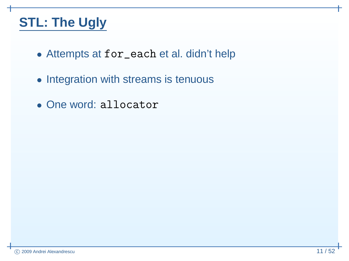### **STL: The Ugly**

- Attempts at for\_each et al. didn't help
- Integration with streams is tenuous
- One word: allocator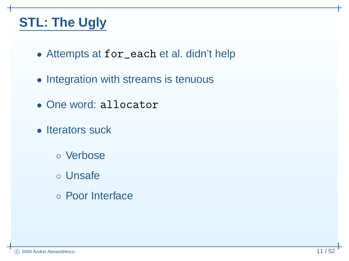### **STL: The Ugly**

- Attempts at for\_each et al. didn't help
- Integration with streams is tenuous
- One word: allocator
- Iterators suck
	- Verbose
	- Unsafe
	- Poor Interface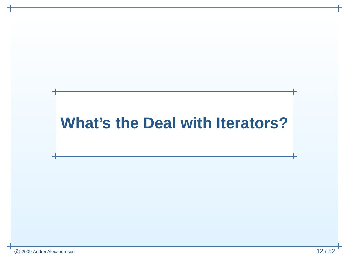## **What's the Deal with Iterators?**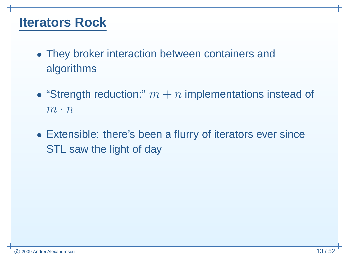### **Iterators Rock**

- They broker interaction between containers andalgorithms
- "Strength reduction:"  $m + n$  implementations instead of  $m \cdot n$
- Extensible: there's been <sup>a</sup> flurry of iterators ever sinceSTL saw the light of day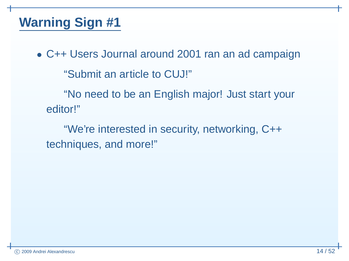• C++ Users Journal around <sup>2001</sup> ran an ad campaign"Submit an article to CUJ!""No need to be an English major! Just start your

editor!"

"We're interested in security, networking, C++techniques, and more!"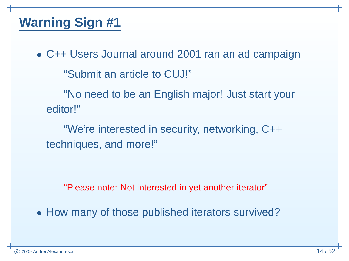• C++ Users Journal around <sup>2001</sup> ran an ad campaign"Submit an article to CUJ!""No need to be an English major! Just start your

editor!"

"We're interested in security, networking, C++techniques, and more!"

"Please note: Not interested in yet another iterator"

• How many of those published iterators survived?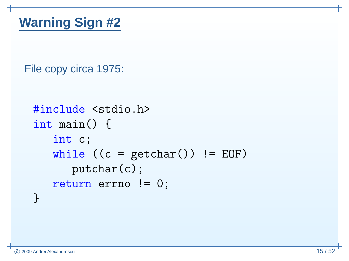File copy circa 1975:

```
#include <stdio.h>
int main() {
   int c;
   while ((c = getchar()) != EOF)putchar(c);
return errno != 0;
}
```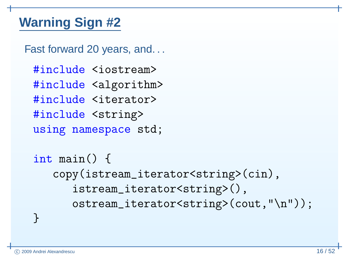Fast forward 20 years, and...

#include <iostream> #include <algorithm> #include <iterator> #include <string> using namespace std;

int main() { copy(istream\_iterator<string>(cin),istream\_iterator<string>(),ostream\_iterator<string>(cout,"\n"));

<u>}</u>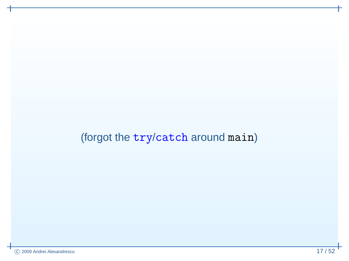## (forgot the try/catch around main)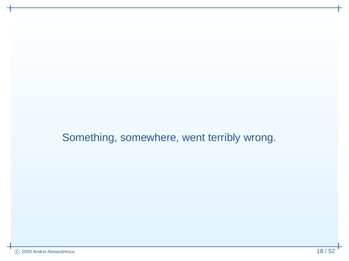#### Something, somewhere, went terribly wrong.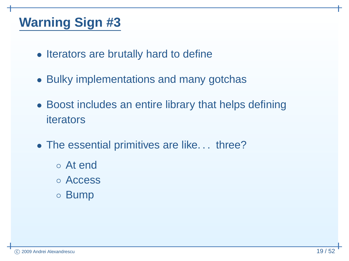- Iterators are brutally hard to define
- Bulky implementations and many gotchas
- Boost includes an entire library that helps definingiterators
- The essential primitives are like. . . three?
	- At end
	- Access
	- Bump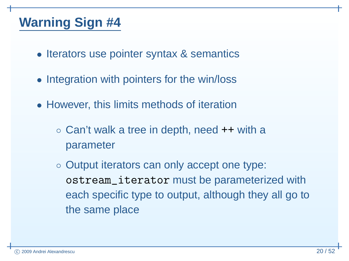- Iterators use pointer syntax & semantics
- Integration with pointers for the win/loss
- However, this limits methods of iteration
	- Can't walk <sup>a</sup> tree in depth, need ++ with <sup>a</sup> parameter
	- Output iterators can only accept one type: ostream\_iterator must be parameterized with each specific type to output, although they all go tothe same place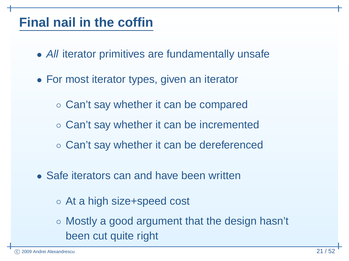### **Final nail in the coffin**

- All iterator primitives are fundamentally unsafe
- For most iterator types, given an iterator
	- Can't say whether it can be compared
	- Can't say whether it can be incremented
	- Can't say whether it can be dereferenced
- Safe iterators can and have been written
	- At <sup>a</sup> high size+speed cost
	- Mostly <sup>a</sup> good argument that the design hasn't been cut quite right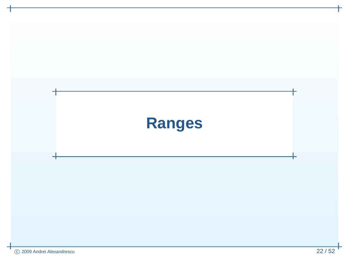# **Ranges**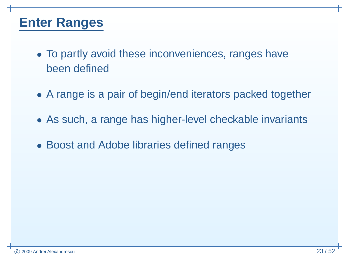### **Enter** Ranges

- To partly avoid these inconveniences, ranges havebeen defined
- <sup>A</sup> range is <sup>a</sup> pair of begin/end iterators packed together
- As such, <sup>a</sup> range has higher-level checkable invariants
- Boost and Adobe libraries defined ranges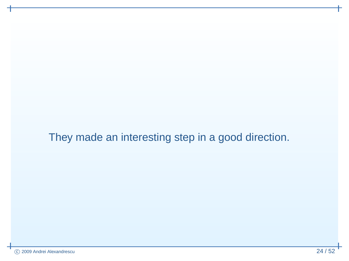They made an interesting step in <sup>a</sup> good direction.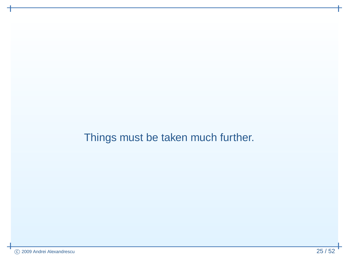Things must be taken much further.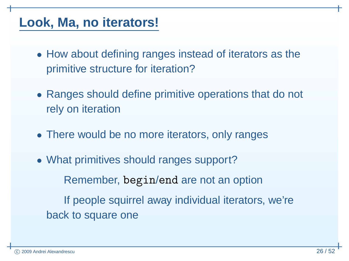### **Look, Ma, no iterators!**

- How about defining ranges instead of iterators as theprimitive structure for iteration?
- Ranges should define primitive operations that do not rely on iteration
- There would be no more iterators, only ranges
- What primitives should ranges support?Remember, begin/end are not an option If people squirrel away individual iterators, we'reback to square one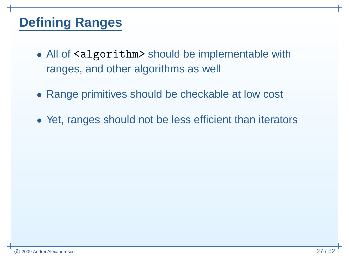### **Defining Ranges**

- All of <algorithm> should be implementable with ranges, and other algorithms as well
- Range primitives should be checkable at low cost
- Yet, ranges should not be less efficient than iterators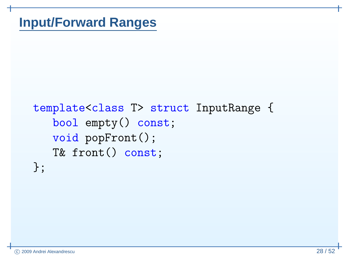### **Input/Forward Ranges**

```
template<class T> struct InputRange {

bool empty() const;
   void popFront();
   T& front() const;
};
```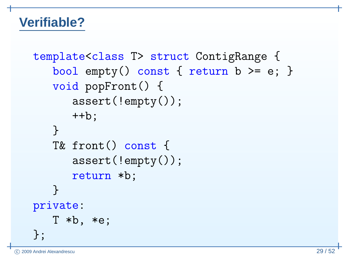### **Verifiable?**

```
template<class T> struct ContigRange {
   bool empty() const { return b >= e; }
   void popFront() {
      assert(!empty());++b;}<br>}

T& front() const {
      assert(!empty());return *b;
   }private:
T *b, *e;};
```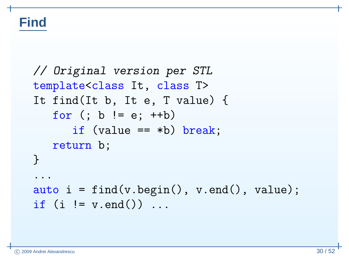### **Find**

```
// Original version per STL
template<class It, class T>
It find(It b, It e, T value) {for (; b != e; ++b)
      if (value == *b) break;
   return b;
}...\texttt{auto i = find(v.begin(), v.end(), value)};if (i != v.end()) \dots
```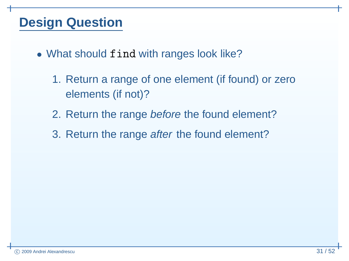### **Design Question**

- What should find with ranges look like?
	- 1. Return <sup>a</sup> range of one element (if found) or zeroelements (if not)?
	- 2. Return the range *before* the found element?
	- 3. Return the range after the found element?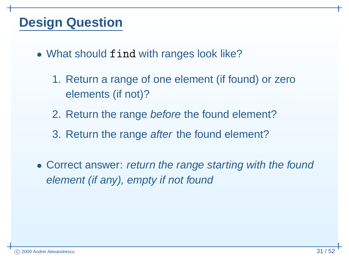### **Design Question**

- What should find with ranges look like?
	- 1. Return <sup>a</sup> range of one element (if found) or zeroelements (if not)?
	- 2. Return the range *before* the found element?
	- 3. Return the range after the found element?
- Correct answer: return the range starting with the foundelement (if any), empty if not found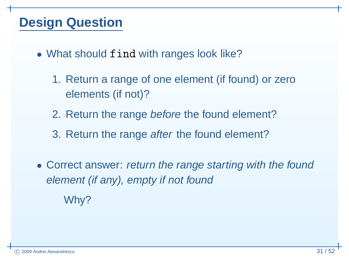### **Design Question**

- What should find with ranges look like?
	- 1. Return <sup>a</sup> range of one element (if found) or zeroelements (if not)?
	- 2. Return the range *before* the found element?
	- 3. Return the range after the found element?
- Correct answer: return the range starting with the foundelement (if any), empty if not foundWhy?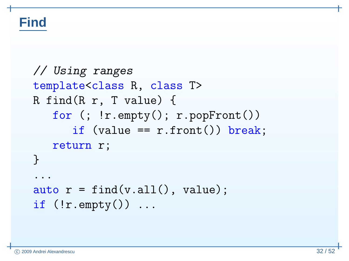### **Find**

```
// Using ranges
template<class R, class T>
R find(R r, T value) {{\tt for} (; !r.empty(); r.pop{\tt Front}()if (value == r.front()) break;
     return r;
}...\texttt{auto}\ \ \texttt{r} \ = \ \texttt{find}(\texttt{v}.\texttt{all}(\texttt{0}\,,\ \texttt{value})\,;if (\text{!r}.\text{empty}()) ...
```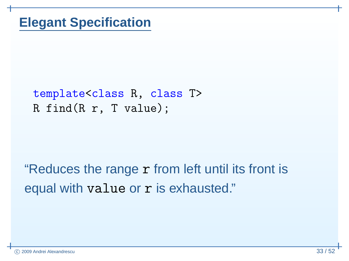### template<class R, class T> R find(R r, T value);

# "Reduces the range r from left until its front is equal with value or r is exhausted."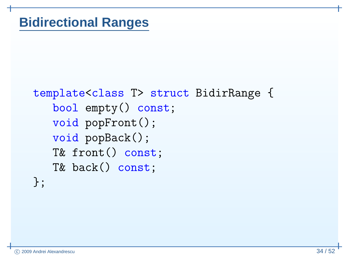```
template<class T> struct BidirRange {

bool empty() const;
   void popFront();
   void popBack();
   T& front() const;
   T& back() const;};
```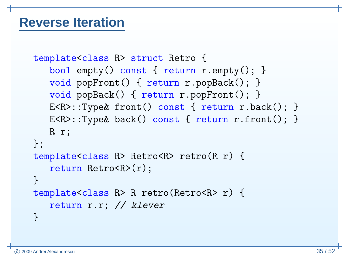### **Reverse Iteration**

```
template<class R> struct Retro {
   bool empty() const { return r.empty(); }
   void popFront() { return r.popBack(); }
   void popBack() { return r.popFront(); }
   E<R>::Type& front() const { return r.back(); }
   E<R>::Type& back() const { return r.front(); }
   R r;};
template<class R> Retro<R> retro(R r) {
   return Retro<R>(r);
}
template<class R> R retro(Retro<R> r) {
   return r.r; // klever
}
```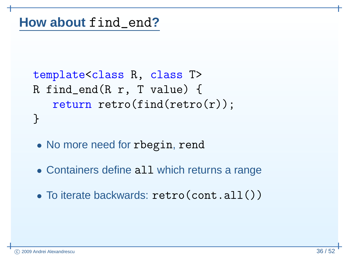```
template<class R, class T>
R find_end(R r, T value) {return\_retro(find(retro(r));}
```
- No more need for rbegin, rend
- Containers define all which returns <sup>a</sup> range
- $\bullet$ To iterate backwards: retro(cont.all())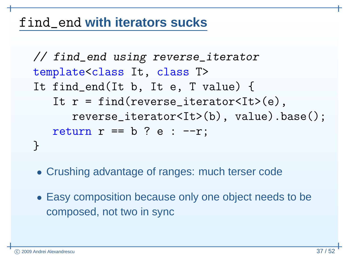# find\_end **with iterators sucks**

```
// find_end using reverse_iterator
template<class It, class T>
It find_end(It b, It e, T value) {
It r = find(reverse_iterator<It>(e),
reverse_iterator<It>(b), value).base();return r == b ? e : --r;}
```
- Crushing advantage of ranges: much terser code
- Easy composition because only one object needs to becomposed, not two in sync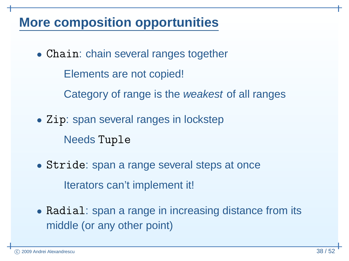### **More composition opportunities**

• Chain: chain several ranges together

Elements are not copied!

Category of range is the *weakest* of all ranges

- Zip: span several ranges in lockstepNeeds Tuple
- Stride: span <sup>a</sup> range several steps at onceIterators can't implement it!
- Radial: span <sup>a</sup> range in increasing distance from itsmiddle (or any other point)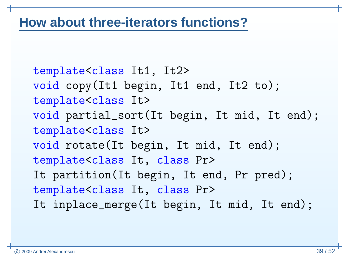### **How about three-iterators functions?**

template<class It1, It2> void copy(It1 begin, It1 end, It2 to); template<class It> void partial\_sort(It begin, It mid, It end); template<class It> void rotate(It begin, It mid, It end); template<class It, class Pr> It partition(It begin, It end, Pr pred);template<class It, class Pr> It inplace\_merge(It begin, It mid, It end);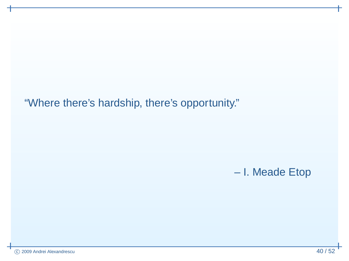"Where there's hardship, there's opportunity."

### I. Meade Etop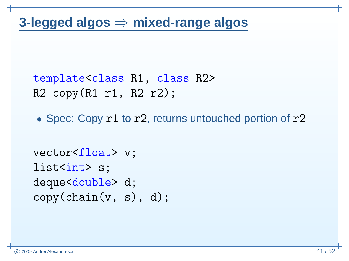```
template<class R1, class R2>
R2 copy(R1 r1, R2 r2);
```
• Spec: Copy r1 to r2, returns untouched portion of r2

```
vector<float> v;
list<int> s;
deque<<mark>double></mark> d;
\mathtt{copy}(\mathtt{chain(v, s), d)};
```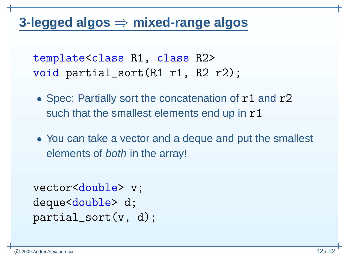# **3-legged algos** <sup>⇒</sup> **mixed-range algos**

template<class R1, class R2> void partial\_sort(R1 r1, R2 r2);

- Spec: Partially sort the concatenation of r1 and r2 such that the smallest elements end up in  $\mathtt{r1}$
- You can take <sup>a</sup> vector and <sup>a</sup> deque and put the smallest elements of *both* in the array!

```
vector<double> v;
deque<double>d;

partial_sort(v, d);
```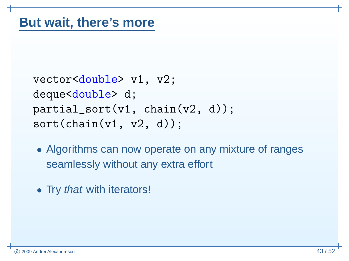```
vector<double> v1, v2;
deque<double> d;
partial_sort(v1, chain(v2, d));sort(chain(v1, v2, d));
```
- Algorithms can now operate on any mixture of rangesseamlessly without any extra effort
- Try *that* with iterators!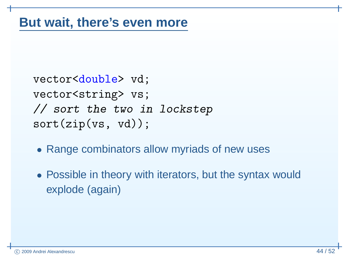```
vector<double> vd;
vector<string> vs;

// sort the two in lockstep
sort(zip(vs, vd));
```
- Range combinators allow myriads of new uses
- Possible in theory with iterators, but the syntax wouldexplode (again)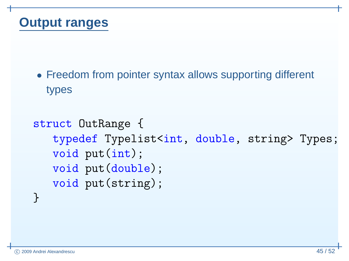### **Output ranges**

• Freedom from pointer syntax allows supporting different types

```
struct OutRange {
   typedef Typelist<int, double, string> Types;
   void put(int);
   void put(double);
   void put(string);
}
```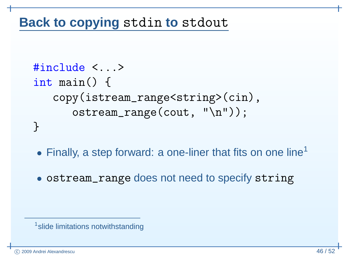# <span id="page-59-0"></span>**Back to copying** stdin **to** stdout

```
#include <...>
int main() {
   copy(istream_range<string>(cin),ostream_range(cout, "\n"));}
```
- $\bullet$  $\bullet$  Finally, a step forward: a one-liner that fits on one line<sup>[1](#page-59-0)</sup>
- ostream\_range does not need to specify string

```
<sup>1</sup> slide limitations notwithstanding
```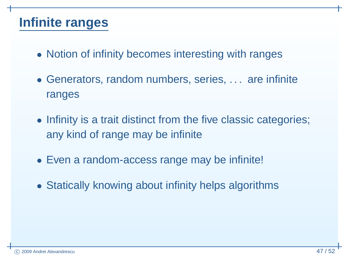### **Infinite ranges**

- Notion of infinity becomes interesting with ranges
- Generators, random numbers, series, . . . are infiniteranges
- Infinity is <sup>a</sup> trait distinct from the five classic categories; any kind of range may be infinite
- Even <sup>a</sup> random-access range may be infinite!
- Statically knowing about infinity helps algorithms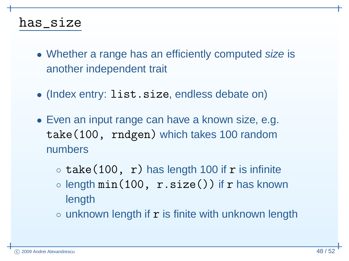### has\_size

- Whether <sup>a</sup> range has an efficiently computed size is another independent trait
- (Index entry: list.size, endless debate on)
- Even an input range can have <sup>a</sup> known size, e.g. take(100, rndgen) which takes <sup>100</sup> randomnumbers
	- ◦ $\circ$  take(100, r) has length 100 if r is infinite
	- $\circ$  length  $\min(100, r.size() )$  if  $r$  has known length
	- $\circ$  unknown length if  ${\tt r}$  is finite with unknown length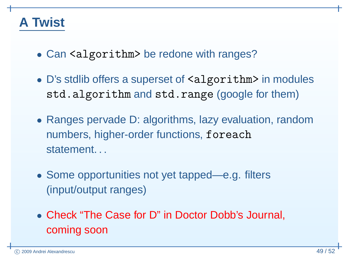### **A Twist**

- Can <algorithm> be redone with ranges?
- D's stdlib offers <sup>a</sup> superset of <algorithm> in modules std.algorithm and std.range (google for them)
- Ranges pervade D: algorithms, lazy evaluation, randomnumbers, higher-order functions, foreachstatement...
- Some opportunities not yet tapped—e.g. filters(input/output ranges)
- Check "The Case for D" in Doctor Dobb's Journal, coming soon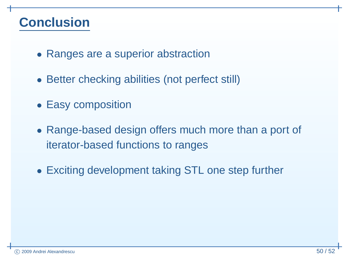### **Conclusion**

- Ranges are <sup>a</sup> superior abstraction
- Better checking abilities (not perfect still)
- Easy composition
- Range-based design offers much more than <sup>a</sup> port of iterator-based functions to ranges
- Exciting development taking STL one step further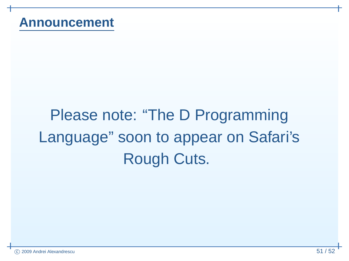# Please note: "The D Programming Language" soon to appear on Safari'sRough Cuts.